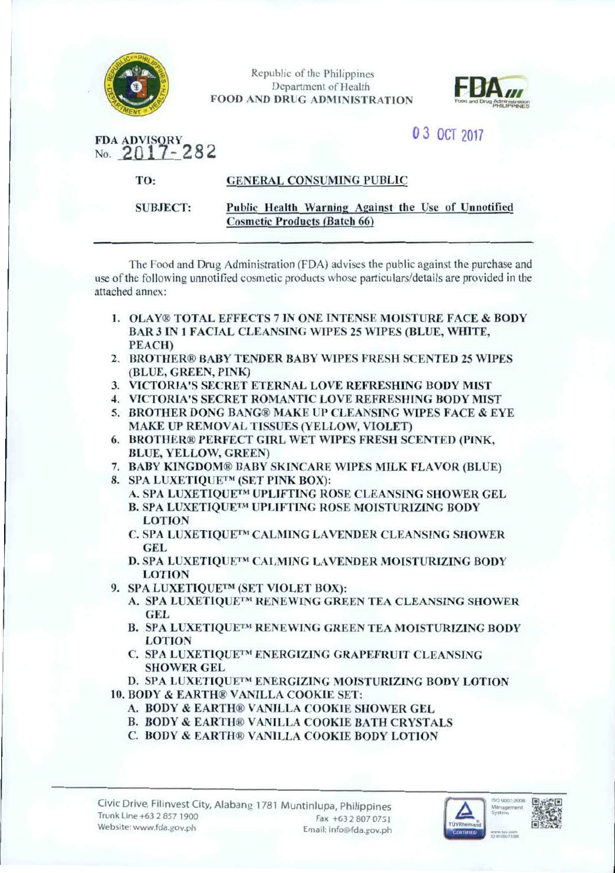

Republic of the Philippines Department of Health **FOOD AND DRUG ADMINISTRATION** 



# 0 3 OCT 2017

FDA ADVISORY<br>No. 2017-282

TO:

### **GENERAL CONSUMING PUBLIC**

**SUBJECT:** 

### Public Health Warning Against the Use of Unnotified **Cosmetic Products (Batch 66)**

The Food and Drug Administration (FDA) advises the public against the purchase and use of the following unnotified cosmetic products whose particulars/details are provided in the attached annex:

- 1. OLAY® TOTAL EFFECTS 7 IN ONE INTENSE MOISTURE FACE & BODY **BAR 3 IN 1 FACIAL CLEANSING WIPES 25 WIPES (BLUE, WHITE, PEACH)**
- 2. BROTHER® BABY TENDER BABY WIPES FRESH SCENTED 25 WIPES (BLUE, GREEN, PINK)
- 3. VICTORIA'S SECRET ETERNAL LOVE REFRESHING BODY MIST
- **4. VICTORIA'S SECRET ROMANTIC LOVE REFRESHING BODY MIST**
- 5. BROTHER DONG BANG® MAKE UP CLEANSING WIPES FACE & EYE MAKE UP REMOVAL TISSUES (YELLOW, VIOLET)
- 6. BROTHER® PERFECT GIRL WET WIPES FRESH SCENTED (PINK, **BLUE, YELLOW, GREEN)**
- 7. BABY KINGDOM® BABY SKINCARE WIPES MILK FLAVOR (BLUE)
- 8. SPA LUXETIQUETM (SET PINK BOX):
	- A. SPA LUXETIOUETM UPLIFTING ROSE CLEANSING SHOWER GEL **B. SPA LUXETIOUETM UPLIFTING ROSE MOISTURIZING BODY LOTION**
	- C. SPA LUXETIQUE™ CALMING LAVENDER CLEANSING SHOWER **GEL**
	- D. SPA LUXETIOUE™ CALMING LAVENDER MOISTURIZING BODY **LOTION**
- 9. SPA LUXETIQUE<sup>TM</sup> (SET VIOLET BOX):
	- A. SPA LUXETIQUE<sup>TM</sup> RENEWING GREEN TEA CLEANSING SHOWER **GEL**
	- B. SPA LUXETIQUETM RENEWING GREEN TEA MOISTURIZING BODY **LOTION**
	- C. SPA LUXETIQUE™ ENERGIZING GRAPEFRUIT CLEANSING **SHOWER GEL**
	- D. SPA LUXETIQUETM ENERGIZING MOISTURIZING BODY LOTION
- 10. BODY & EARTH® VANILLA COOKIE SET:
	- A. BODY & EARTH® VANILLA COOKIE SHOWER GEL
	- **B. BODY & EARTH® VANILLA COOKIE BATH CRYSTALS**
	- C. BODY & EARTH® VANILLA COOKIE BODY LOTION



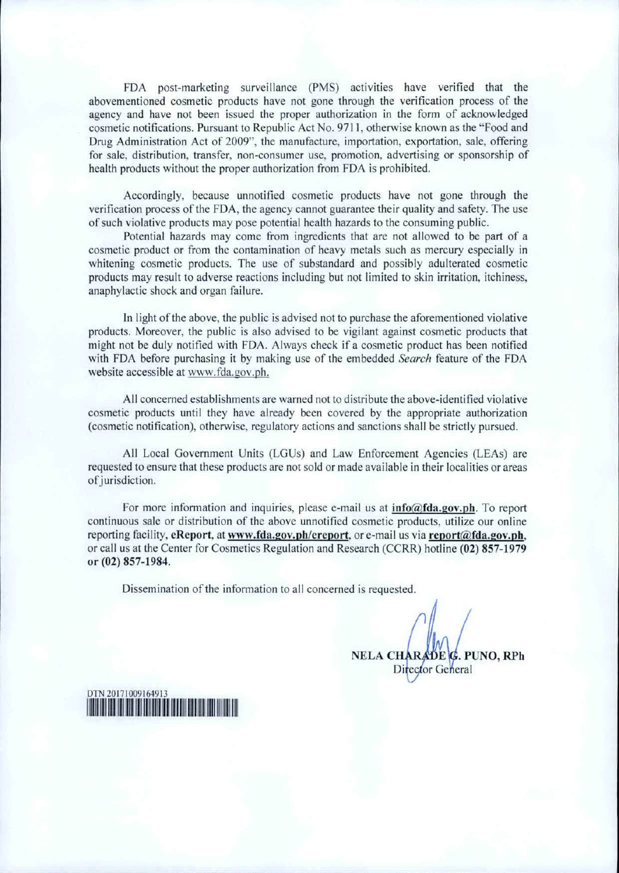FDA post-marketing surveillance (PMS) activities have verified that the abovementioned cosmetic products have not gone through the verification process of the agency and have not been issued the proper authorization in the form of acknowledged cosmetic notifications. Pursuant to Republic Act No. 9711, otherwise known as the "Food and Drug Administration Act of 2009", the manufacture, importation, exportation, sale, offering for sale, distribution, transfer, non-consumer use, promotion, advertising or sponsorship of health products without the proper authorization from FDA is prohibited.

Accordingly, because unnotifled cosmetic products have not gone through the verification process of the FDA, the agency cannot guarantee their quality and safety. The use of such violative products may pose potential health hazards to the consuming public.

Potential hazards may come from ingredients that are not allowed to be part of a cosmetic product or from the contamination of heavy metals such as mercury especially in whitening cosmetic products. The use of substandard and possibly adulterated cosmetic products may result to adverse reactions including but not limited *to* skin irritation, itchiness, anaphylactic shock and organ failure.

In light of the above, the public is advised not to purchase the aforementioned violative products. Moreover, the public is also advised to be vigilant against cosmetic products that might not be duly notified with FDA. Always check if a cosmetic product has been notified with FDA before purchasing it by making use of the embedded *Search* feature of the FDA website accessible at www.fda.gov.ph.

All concerned establishments are warned not to distribute the above-identified violative cosmetic products until they have already been covered by the appropriate authorization (cosmetic notification), otherwise, regulatory actions and sanctions shall be strictly pursued.

All Local Government Units (LGUs) and Law Enforcement Agencies (LEAs) are requested to ensure that these products are not sold or made available in their localities or areas of jurisdiction.

For more information and inquiries, please e-mail us at  $info@fda.gov.ph$ . To report continuous sale or distribution of the above unnotified cosmetic products, utilize our online reporting facility, eReport, at www.fda.gov.ph/ereport, or e-mail us via report@fda.gov.ph, or call us at the Center for Cosmetics Regulation and Research (CCRR) hotline (02) 857-1979 or (02) 857-1984.

Dissemination of the information to all concerned is requested.

NELA CHARADE G. PUNO, RPh Director General

DTN 20171009164913 1~mm1111m~111mrn11m11f11~~11m1111~,1~11111m111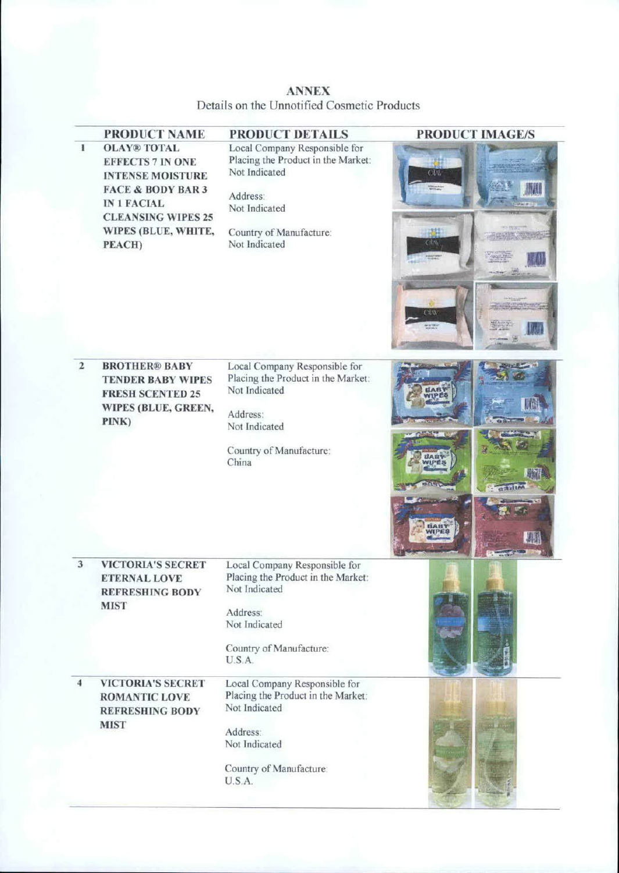ANNEX Details on the Unnotified Cosmetic Products

|                | PRODUCT NAME                                                                                                                                                                                 | PRODUCT DETAILS                                                                                                                                               | <b>PRODUCT IMAGE/S</b>                                                                                  |
|----------------|----------------------------------------------------------------------------------------------------------------------------------------------------------------------------------------------|---------------------------------------------------------------------------------------------------------------------------------------------------------------|---------------------------------------------------------------------------------------------------------|
| $\mathbf{1}$   | <b>OLAY® TOTAL</b><br><b>EFFECTS 7 IN ONE</b><br><b>INTENSE MOISTURE</b><br><b>FACE &amp; BODY BAR 3</b><br><b>IN 1 FACIAL</b><br><b>CLEANSING WIPES 25</b><br>WIPES (BLUE, WHITE,<br>PEACH) | Local Company Responsible for<br>Placing the Product in the Market:<br>Not Indicated<br>Address:<br>Not Indicated<br>Country of Manufacture:<br>Not Indicated | CLA<br>$Cl_2$<br>Cim<br><b>TO.O</b>                                                                     |
| $\overline{2}$ | <b>BROTHER® BABY</b><br><b>TENDER BABY WIPES</b><br><b>FRESH SCENTED 25</b><br>WIPES (BLUE, GREEN,<br>PINK)                                                                                  | Local Company Responsible for<br>Placing the Product in the Market:<br>Not Indicated<br>Address:<br>Not Indicated<br>Country of Manufacture:<br>China         | <b>EAB</b><br>WIPE8<br><b>BAB1</b><br><b>NIPES</b><br><b>CEINTRA</b><br><b>Sales</b><br><b>BAB</b><br>調 |
| 3              | <b>VICTORIA'S SECRET</b><br><b>ETERNAL LOVE</b><br><b>REFRESHING BODY</b><br><b>MIST</b>                                                                                                     | Local Company Responsible for<br>Placing the Product in the Market:<br>Not Indicated<br>Address:<br>Not Indicated<br>Country of Manufacture:<br>U.S.A.        |                                                                                                         |
| 4              | <b>VICTORIA'S SECRET</b><br><b>ROMANTIC LOVE</b><br><b>REFRESHING BODY</b><br><b>MIST</b>                                                                                                    | Local Company Responsible for<br>Placing the Product in the Market:<br>Not Indicated<br>Address:<br>Not Indicated<br>Country of Manufacture:<br>U.S.A.        |                                                                                                         |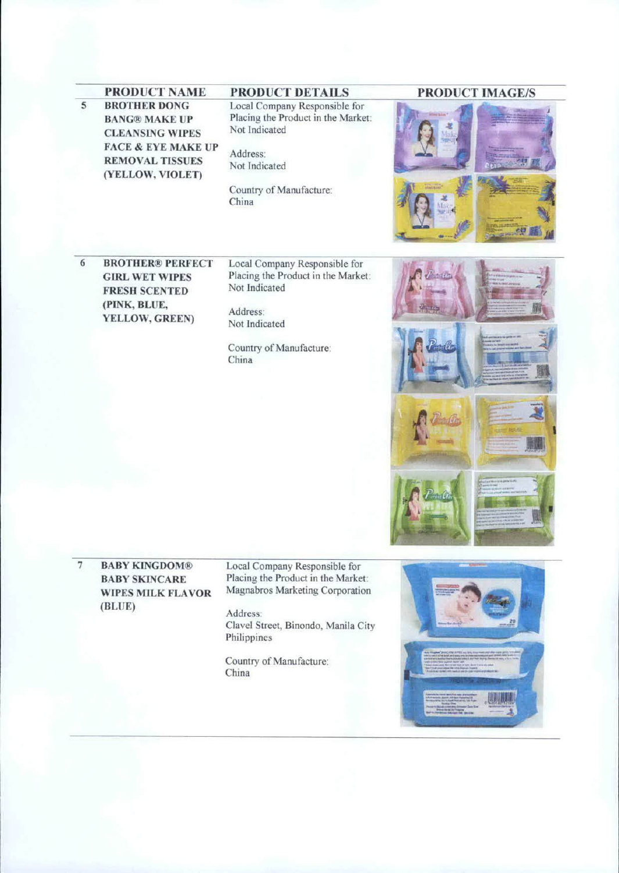FACE & EYE MAKE UP Address: REMOVAL TISSUES Not Indicated (YELLOW. VIOLET) 5 BROTHER DONG BANG® MAKE UP CLEANSING WIPES

### Local Company Responsible for Placing the Product in the Market Not Indicated

Country of Manufacture: China

## PRODUCT NAME PRODUCT DETAILS PRODUCT IMAGE/S



BROTHER® PERFECT **GIRL WET WIPES** FRESH SCENTED (PINK, BLUE, YELLOW, GREEN) 6

Local Company Responsible for Placing the Product in the Market. Not indicated

Address: Not Indicated

Country of Manufacture: China



BABY KINGDOM® BABY SKINCARE WlPES MlLK FLAVOR (BLUE) 7

Local Company Responsible for Placing the Product in the Market. Magnabros Marketing Corporation

Address: Clavel Street, Binondo. Manila City Philippines

Country of Manufacture: China

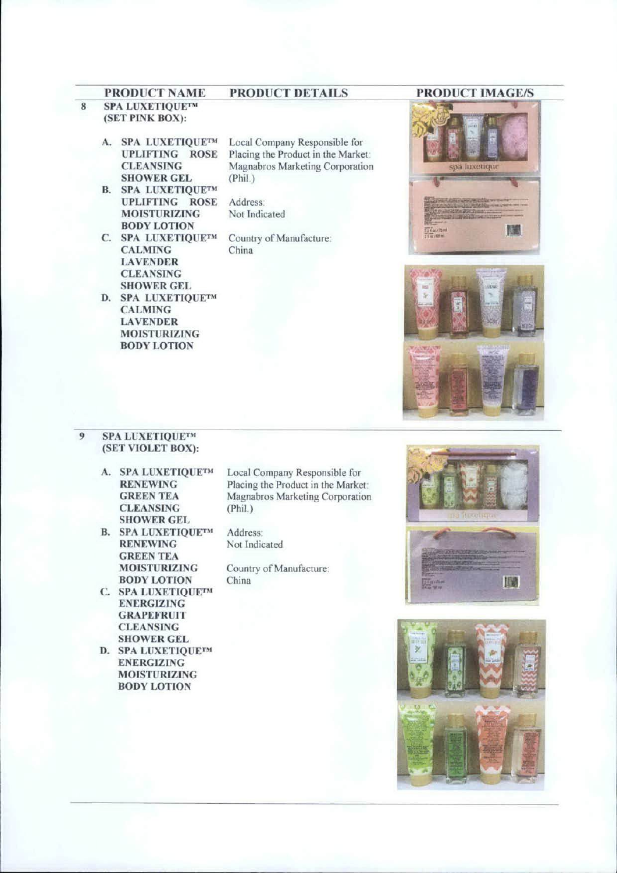## PRODUCT NAME PRODUCT DETAILS PRODUCT IMAGE/S

#### 8 SPA LUXETIQUETM (SET PINK BOX):

- A. SPA LUXETIQUETM UPLIFTING ROSE CLEANSING SHOWER GEL
- B. SPA LUXETIQUETM UPLIFI1NG ROSE MOISTURIZING BODY LOTION
- C. SPA LUXETIQUE™ CALMING LAVENDER CLEANSING SHOWER GEL
- D. SPA LUXETIQUETM CALMING LAVENDER MOISTURIZING BODY LOTION

Local Company Responsible for Placing the Product in the Market: Magnabros Marketing Corporation (Phil)

Address. Not Tndicated

Country of Manufacture: China





#### 9 SPA LUXETIQUE™ (SET VIOLET BOX):

- A. SPA LUXETIQUETM RENEWING GREEN TEA CLEANSING SHOWER GEL
- B. SPA LUXETIQUETM **RENEWING** GREEN TEA MOISTURIZING BODY LOTION
- C. SPA LUXETIQUETM ENERGIZING **GRAPEFRUIT CLEANSING** SHOWER GEL
- D. SPA LUXETlQUETM ENERGIZING MOISTURIZING BODY LOTION

Local Company Responsible for Placing the Product in the Market Magnabros Marketing Corporation (Phil.)

Address Not Indicated

Country of Manufacture: China